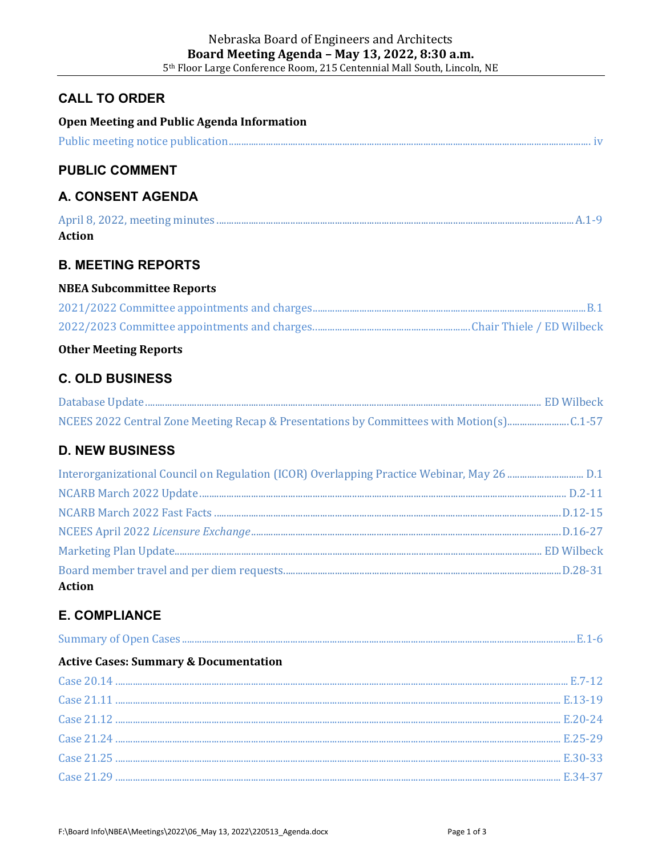## **CALL TO ORDER**

| <b>Open Meeting and Public Agenda Information</b>                                        |  |
|------------------------------------------------------------------------------------------|--|
|                                                                                          |  |
| <b>PUBLIC COMMENT</b>                                                                    |  |
| <b>A. CONSENT AGENDA</b>                                                                 |  |
| <b>Action</b>                                                                            |  |
| <b>B. MEETING REPORTS</b>                                                                |  |
| <b>NBEA Subcommittee Reports</b>                                                         |  |
|                                                                                          |  |
|                                                                                          |  |
| <b>Other Meeting Reports</b>                                                             |  |
| <b>C. OLD BUSINESS</b>                                                                   |  |
|                                                                                          |  |
| NCEES 2022 Central Zone Meeting Recap & Presentations by Committees with Motion(s)C.1-57 |  |
| <b>D. NEW BUSINESS</b>                                                                   |  |
|                                                                                          |  |
|                                                                                          |  |
|                                                                                          |  |
|                                                                                          |  |
|                                                                                          |  |
| <b>Action</b>                                                                            |  |
| <b>E. COMPLIANCE</b>                                                                     |  |
|                                                                                          |  |
| <b>Active Cases: Summary &amp; Documentation</b>                                         |  |
|                                                                                          |  |
|                                                                                          |  |
|                                                                                          |  |
|                                                                                          |  |
|                                                                                          |  |
|                                                                                          |  |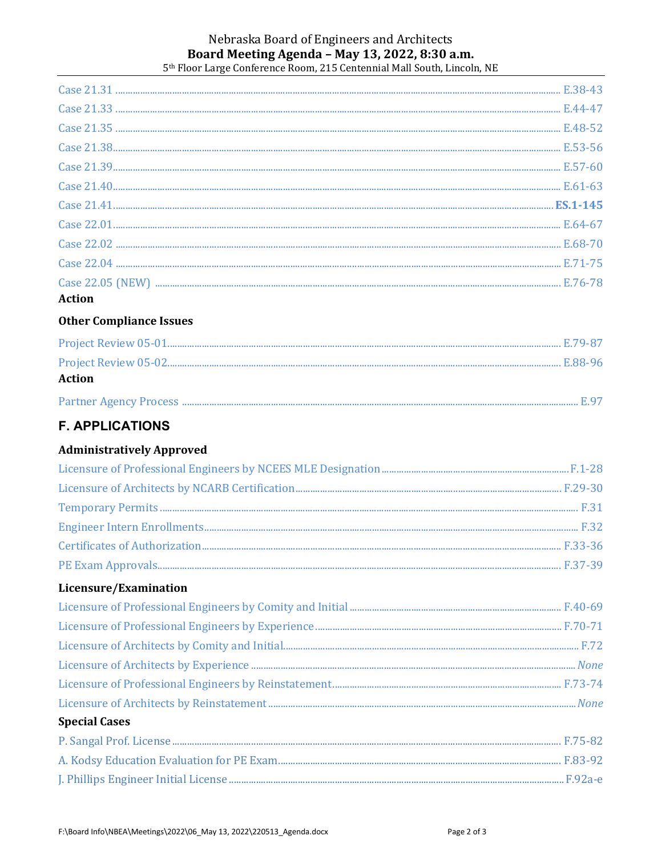#### Nebraska Board of Engineers and Architects Board Meeting Agenda - May 13, 2022, 8:30 a.m. 5<sup>th</sup> Floor Large Conference Room, 215 Centennial Mall South, Lincoln, NE

### **Other Compliance Issues**

| Action |  |
|--------|--|
|        |  |

# **F. APPLICATIONS**

### **Administratively Approved**

### Licensure/Examination

| <b>Special Cases</b> |  |
|----------------------|--|
|                      |  |
|                      |  |
|                      |  |